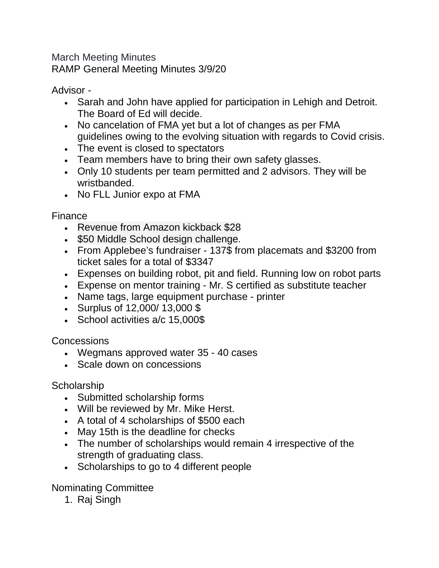March Meeting Minutes RAMP General Meeting Minutes 3/9/20

Advisor -

- Sarah and John have applied for participation in Lehigh and Detroit. The Board of Ed will decide.
- No cancelation of FMA yet but a lot of changes as per FMA guidelines owing to the evolving situation with regards to Covid crisis.
- The event is closed to spectators
- Team members have to bring their own safety glasses.
- Only 10 students per team permitted and 2 advisors. They will be wristbanded.
- No FLL Junior expo at FMA

Finance

- Revenue from Amazon kickback \$28
- \$50 Middle School design challenge.
- From Applebee's fundraiser 137\$ from placemats and \$3200 from ticket sales for a total of \$3347
- Expenses on building robot, pit and field. Running low on robot parts
- Expense on mentor training Mr. S certified as substitute teacher
- Name tags, large equipment purchase printer
- Surplus of 12,000/ 13,000 \$
- School activities a/c 15,000\$

Concessions

- Wegmans approved water 35 40 cases
- Scale down on concessions

## **Scholarship**

- Submitted scholarship forms
- Will be reviewed by Mr. Mike Herst.
- A total of 4 scholarships of \$500 each
- May 15th is the deadline for checks
- The number of scholarships would remain 4 irrespective of the strength of graduating class.
- Scholarships to go to 4 different people

Nominating Committee

1. Raj Singh